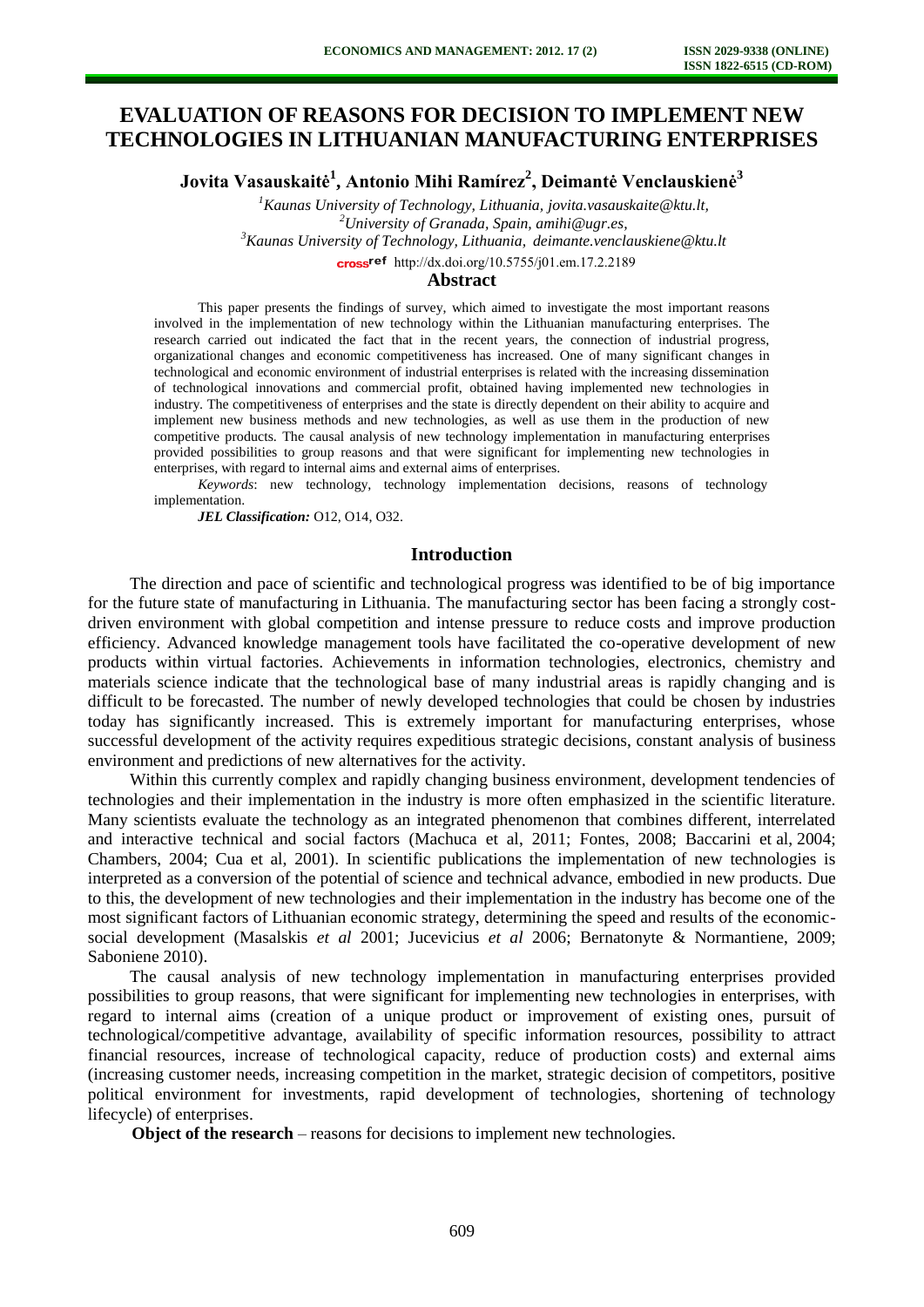# **EVALUATION OF REASONS FOR DECISION TO IMPLEMENT NEW TECHNOLOGIES IN LITHUANIAN MANUFACTURING ENTERPRISES**

**Jovita Vasauskaitė<sup>1</sup> , Antonio Mihi Ramírez<sup>2</sup> , Deimantė Venclauskienė<sup>3</sup>**

*Kaunas University of Technology, Lithuania, jovita.vasauskaite@ktu.lt, University of Granada, Spain, amihi@ugr.es, Kaunas University of Technology, Lithuania, deimante.venclauskiene@ktu.lt*  cross<sup>ref</sup> [http://dx.doi.org/10.5755/j01.e](http://dx.doi.org/10.5755/j01.em.17.2.2189)m.17.2.2189

**Abstract** 

This paper presents the findings of survey, which aimed to investigate the most important reasons involved in the implementation of new technology within the Lithuanian manufacturing enterprises. The research carried out indicated the fact that in the recent years, the connection of industrial progress, organizational changes and economic competitiveness has increased. One of many significant changes in technological and economic environment of industrial enterprises is related with the increasing dissemination of technological innovations and commercial profit, obtained having implemented new technologies in industry. The competitiveness of enterprises and the state is directly dependent on their ability to acquire and implement new business methods and new technologies, as well as use them in the production of new competitive products. The causal analysis of new technology implementation in manufacturing enterprises provided possibilities to group reasons and that were significant for implementing new technologies in enterprises, with regard to internal aims and external aims of enterprises.

*Keywords*: new technology, technology implementation decisions, reasons of technology implementation.

*JEL Classification:* O12, O14, O32.

## **Introduction**

The direction and pace of scientific and technological progress was identified to be of big importance for the future state of manufacturing in Lithuania. The manufacturing sector has been facing a strongly costdriven environment with global competition and intense pressure to reduce costs and improve production efficiency. Advanced knowledge management tools have facilitated the co-operative development of new products within virtual factories. Achievements in information technologies, electronics, chemistry and materials science indicate that the technological base of many industrial areas is rapidly changing and is difficult to be forecasted. The number of newly developed technologies that could be chosen by industries today has significantly increased. This is extremely important for manufacturing enterprises, whose successful development of the activity requires expeditious strategic decisions, constant analysis of business environment and predictions of new alternatives for the activity.

Within this currently complex and rapidly changing business environment, development tendencies of technologies and their implementation in the industry is more often emphasized in the scientific literature. Many scientists evaluate the technology as an integrated phenomenon that combines different, interrelated and interactive technical and social factors (Machuca et al, 2011; Fontes, 2008; Baccarini et al, 2004; Chambers, 2004; Cua et al, 2001). In scientific publications the implementation of new technologies is interpreted as a conversion of the potential of science and technical advance, embodied in new products. Due to this, the development of new technologies and their implementation in the industry has become one of the most significant factors of Lithuanian economic strategy, determining the speed and results of the economicsocial development (Masalskis *et al* 2001; Jucevicius *et al* 2006; Bernatonyte & Normantiene, 2009; Saboniene 2010).

The causal analysis of new technology implementation in manufacturing enterprises provided possibilities to group reasons, that were significant for implementing new technologies in enterprises, with regard to internal aims (creation of a unique product or improvement of existing ones, pursuit of technological/competitive advantage, availability of specific information resources, possibility to attract financial resources, increase of technological capacity, reduce of production costs) and external aims (increasing customer needs, increasing competition in the market, strategic decision of competitors, positive political environment for investments, rapid development of technologies, shortening of technology lifecycle) of enterprises.

**Object of the research** – reasons for decisions to implement new technologies.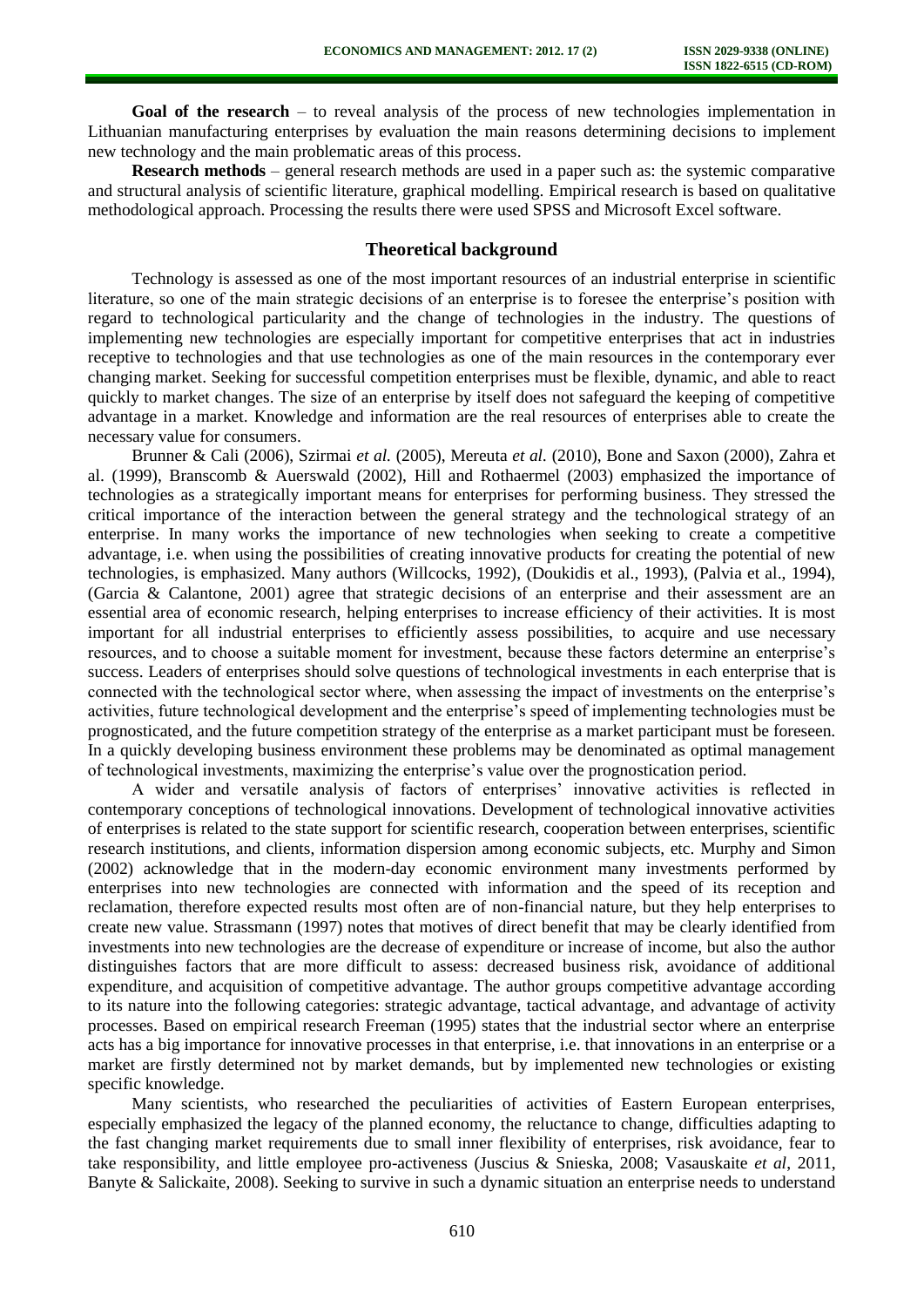**Goal of the research** – to reveal analysis of the process of new technologies implementation in Lithuanian manufacturing enterprises by evaluation the main reasons determining decisions to implement new technology and the main problematic areas of this process.

**Research methods** – general research methods are used in a paper such as: the systemic comparative and structural analysis of scientific literature, graphical modelling. Empirical research is based on qualitative methodological approach. Processing the results there were used SPSS and Microsoft Excel software.

## **Theoretical background**

Technology is assessed as one of the most important resources of an industrial enterprise in scientific literature, so one of the main strategic decisions of an enterprise is to foresee the enterprise's position with regard to technological particularity and the change of technologies in the industry. The questions of implementing new technologies are especially important for competitive enterprises that act in industries receptive to technologies and that use technologies as one of the main resources in the contemporary ever changing market. Seeking for successful competition enterprises must be flexible, dynamic, and able to react quickly to market changes. The size of an enterprise by itself does not safeguard the keeping of competitive advantage in a market. Knowledge and information are the real resources of enterprises able to create the necessary value for consumers.

Brunner & Cali (2006), Szirmai *et al.* (2005), Mereuta *et al.* (2010), Bone and Saxon (2000), Zahra et al. (1999), Branscomb & Auerswald (2002), Hill and Rothaermel (2003) emphasized the importance of technologies as a strategically important means for enterprises for performing business. They stressed the critical importance of the interaction between the general strategy and the technological strategy of an enterprise. In many works the importance of new technologies when seeking to create a competitive advantage, i.e. when using the possibilities of creating innovative products for creating the potential of new technologies, is emphasized. Many authors (Willcocks, 1992), (Doukidis et al., 1993), (Palvia et al., 1994), (Garcia & Calantone, 2001) agree that strategic decisions of an enterprise and their assessment are an essential area of economic research, helping enterprises to increase efficiency of their activities. It is most important for all industrial enterprises to efficiently assess possibilities, to acquire and use necessary resources, and to choose a suitable moment for investment, because these factors determine an enterprise's success. Leaders of enterprises should solve questions of technological investments in each enterprise that is connected with the technological sector where, when assessing the impact of investments on the enterprise's activities, future technological development and the enterprise's speed of implementing technologies must be prognosticated, and the future competition strategy of the enterprise as a market participant must be foreseen. In a quickly developing business environment these problems may be denominated as optimal management of technological investments, maximizing the enterprise's value over the prognostication period.

A wider and versatile analysis of factors of enterprises' innovative activities is reflected in contemporary conceptions of technological innovations. Development of technological innovative activities of enterprises is related to the state support for scientific research, cooperation between enterprises, scientific research institutions, and clients, information dispersion among economic subjects, etc. Murphy and Simon (2002) acknowledge that in the modern-day economic environment many investments performed by enterprises into new technologies are connected with information and the speed of its reception and reclamation, therefore expected results most often are of non-financial nature, but they help enterprises to create new value. Strassmann (1997) notes that motives of direct benefit that may be clearly identified from investments into new technologies are the decrease of expenditure or increase of income, but also the author distinguishes factors that are more difficult to assess: decreased business risk, avoidance of additional expenditure, and acquisition of competitive advantage. The author groups competitive advantage according to its nature into the following categories: strategic advantage, tactical advantage, and advantage of activity processes. Based on empirical research Freeman (1995) states that the industrial sector where an enterprise acts has a big importance for innovative processes in that enterprise, i.e. that innovations in an enterprise or a market are firstly determined not by market demands, but by implemented new technologies or existing specific knowledge.

Many scientists, who researched the peculiarities of activities of Eastern European enterprises, especially emphasized the legacy of the planned economy, the reluctance to change, difficulties adapting to the fast changing market requirements due to small inner flexibility of enterprises, risk avoidance, fear to take responsibility, and little employee pro-activeness (Juscius & Snieska, 2008; Vasauskaite *et al*, 2011, Banyte & Salickaite, 2008). Seeking to survive in such a dynamic situation an enterprise needs to understand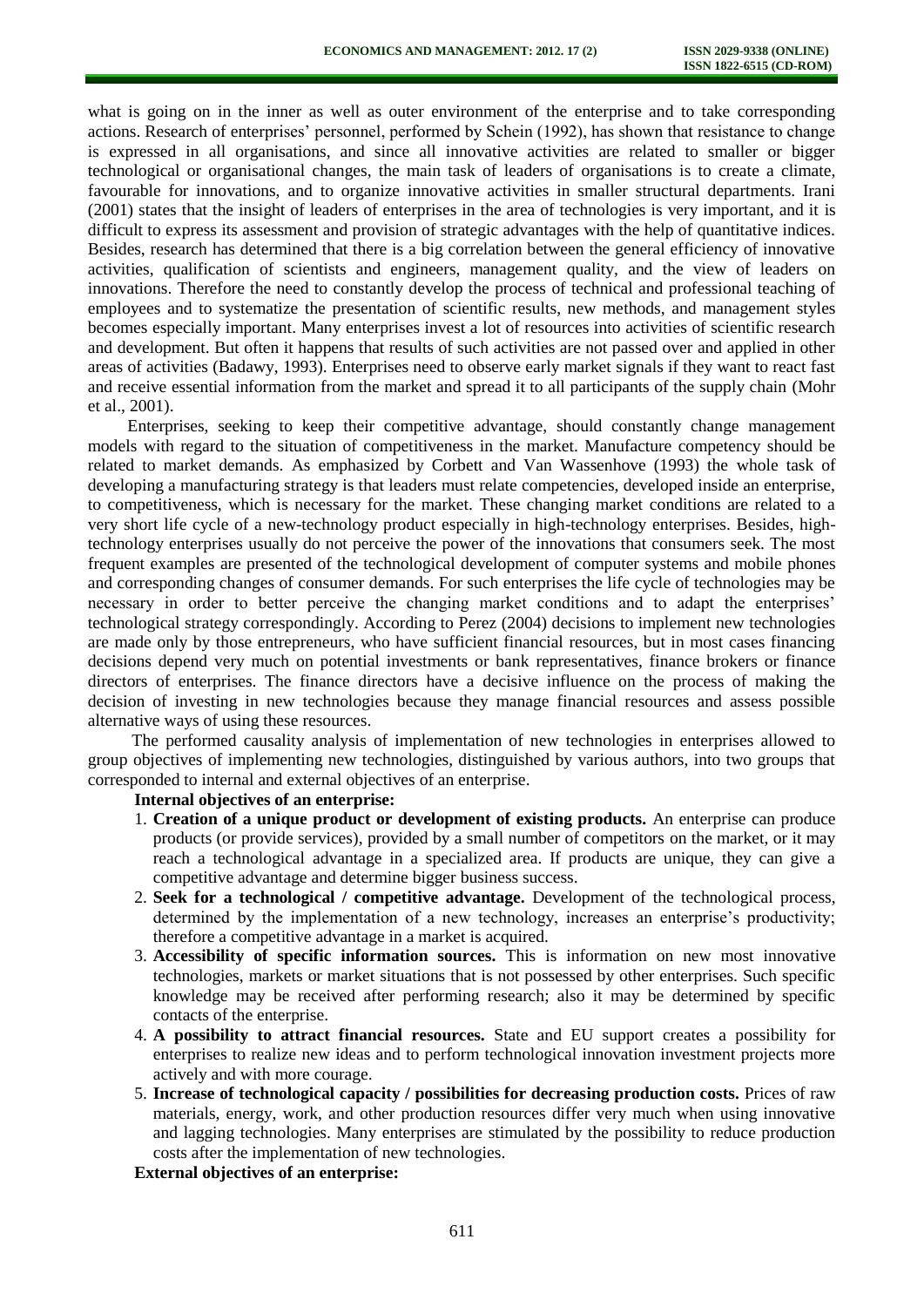what is going on in the inner as well as outer environment of the enterprise and to take corresponding actions. Research of enterprises' personnel, performed by Schein (1992), has shown that resistance to change is expressed in all organisations, and since all innovative activities are related to smaller or bigger technological or organisational changes, the main task of leaders of organisations is to create a climate, favourable for innovations, and to organize innovative activities in smaller structural departments. Irani (2001) states that the insight of leaders of enterprises in the area of technologies is very important, and it is difficult to express its assessment and provision of strategic advantages with the help of quantitative indices. Besides, research has determined that there is a big correlation between the general efficiency of innovative activities, qualification of scientists and engineers, management quality, and the view of leaders on innovations. Therefore the need to constantly develop the process of technical and professional teaching of employees and to systematize the presentation of scientific results, new methods, and management styles becomes especially important. Many enterprises invest a lot of resources into activities of scientific research and development. But often it happens that results of such activities are not passed over and applied in other areas of activities (Badawy, 1993). Enterprises need to observe early market signals if they want to react fast and receive essential information from the market and spread it to all participants of the supply chain (Mohr et al., 2001).

Enterprises, seeking to keep their competitive advantage, should constantly change management models with regard to the situation of competitiveness in the market. Manufacture competency should be related to market demands. As emphasized by Corbett and Van Wassenhove (1993) the whole task of developing a manufacturing strategy is that leaders must relate competencies, developed inside an enterprise, to competitiveness, which is necessary for the market. These changing market conditions are related to a very short life cycle of a new-technology product especially in high-technology enterprises. Besides, hightechnology enterprises usually do not perceive the power of the innovations that consumers seek. The most frequent examples are presented of the technological development of computer systems and mobile phones and corresponding changes of consumer demands. For such enterprises the life cycle of technologies may be necessary in order to better perceive the changing market conditions and to adapt the enterprises' technological strategy correspondingly. According to Perez (2004) decisions to implement new technologies are made only by those entrepreneurs, who have sufficient financial resources, but in most cases financing decisions depend very much on potential investments or bank representatives, finance brokers or finance directors of enterprises. The finance directors have a decisive influence on the process of making the decision of investing in new technologies because they manage financial resources and assess possible alternative ways of using these resources.

The performed causality analysis of implementation of new technologies in enterprises allowed to group objectives of implementing new technologies, distinguished by various authors, into two groups that corresponded to internal and external objectives of an enterprise.

#### **Internal objectives of an enterprise:**

- 1. **Creation of a unique product or development of existing products.** An enterprise can produce products (or provide services), provided by a small number of competitors on the market, or it may reach a technological advantage in a specialized area. If products are unique, they can give a competitive advantage and determine bigger business success.
- 2. **Seek for a technological / competitive advantage.** Development of the technological process, determined by the implementation of a new technology, increases an enterprise's productivity; therefore a competitive advantage in a market is acquired.
- 3. **Accessibility of specific information sources.** This is information on new most innovative technologies, markets or market situations that is not possessed by other enterprises. Such specific knowledge may be received after performing research; also it may be determined by specific contacts of the enterprise.
- 4. **A possibility to attract financial resources.** State and EU support creates a possibility for enterprises to realize new ideas and to perform technological innovation investment projects more actively and with more courage.
- 5. **Increase of technological capacity / possibilities for decreasing production costs.** Prices of raw materials, energy, work, and other production resources differ very much when using innovative and lagging technologies. Many enterprises are stimulated by the possibility to reduce production costs after the implementation of new technologies.

**External objectives of an enterprise:**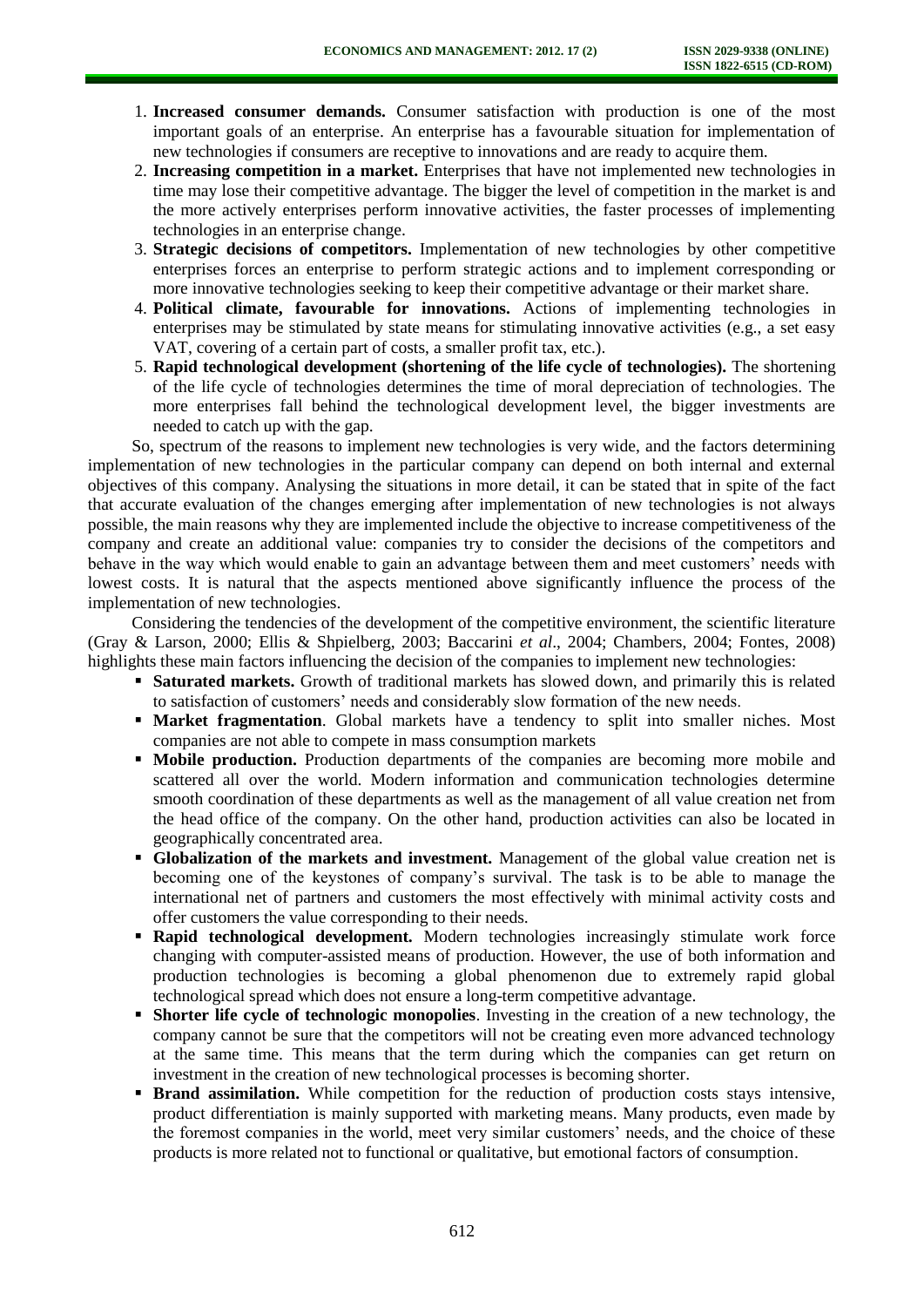- 1. **Increased consumer demands.** Consumer satisfaction with production is one of the most important goals of an enterprise. An enterprise has a favourable situation for implementation of new technologies if consumers are receptive to innovations and are ready to acquire them.
- 2. **Increasing competition in a market.** Enterprises that have not implemented new technologies in time may lose their competitive advantage. The bigger the level of competition in the market is and the more actively enterprises perform innovative activities, the faster processes of implementing technologies in an enterprise change.
- 3. **Strategic decisions of competitors.** Implementation of new technologies by other competitive enterprises forces an enterprise to perform strategic actions and to implement corresponding or more innovative technologies seeking to keep their competitive advantage or their market share.
- 4. **Political climate, favourable for innovations.** Actions of implementing technologies in enterprises may be stimulated by state means for stimulating innovative activities (e.g., a set easy VAT, covering of a certain part of costs, a smaller profit tax, etc.).
- 5. **Rapid technological development (shortening of the life cycle of technologies).** The shortening of the life cycle of technologies determines the time of moral depreciation of technologies. The more enterprises fall behind the technological development level, the bigger investments are needed to catch up with the gap.

So, spectrum of the reasons to implement new technologies is very wide, and the factors determining implementation of new technologies in the particular company can depend on both internal and external objectives of this company. Analysing the situations in more detail, it can be stated that in spite of the fact that accurate evaluation of the changes emerging after implementation of new technologies is not always possible, the main reasons why they are implemented include the objective to increase competitiveness of the company and create an additional value: companies try to consider the decisions of the competitors and behave in the way which would enable to gain an advantage between them and meet customers' needs with lowest costs. It is natural that the aspects mentioned above significantly influence the process of the implementation of new technologies.

Considering the tendencies of the development of the competitive environment, the scientific literature (Gray & Larson, 2000; Ellis & Shpielberg, 2003; Baccarini *et al*., 2004; Chambers, 2004; Fontes, 2008) highlights these main factors influencing the decision of the companies to implement new technologies:

- **Saturated markets.** Growth of traditional markets has slowed down, and primarily this is related to satisfaction of customers' needs and considerably slow formation of the new needs.
- **Market fragmentation**. Global markets have a tendency to split into smaller niches. Most companies are not able to compete in mass consumption markets
- **Mobile production.** Production departments of the companies are becoming more mobile and scattered all over the world. Modern information and communication technologies determine smooth coordination of these departments as well as the management of all value creation net from the head office of the company. On the other hand, production activities can also be located in geographically concentrated area.
- **Globalization of the markets and investment.** Management of the global value creation net is becoming one of the keystones of company's survival. The task is to be able to manage the international net of partners and customers the most effectively with minimal activity costs and offer customers the value corresponding to their needs.
- **Rapid technological development.** Modern technologies increasingly stimulate work force changing with computer-assisted means of production. However, the use of both information and production technologies is becoming a global phenomenon due to extremely rapid global technological spread which does not ensure a long-term competitive advantage.
- **Shorter life cycle of technologic monopolies**. Investing in the creation of a new technology, the company cannot be sure that the competitors will not be creating even more advanced technology at the same time. This means that the term during which the companies can get return on investment in the creation of new technological processes is becoming shorter.
- **Brand assimilation.** While competition for the reduction of production costs stays intensive, product differentiation is mainly supported with marketing means. Many products, even made by the foremost companies in the world, meet very similar customers' needs, and the choice of these products is more related not to functional or qualitative, but emotional factors of consumption.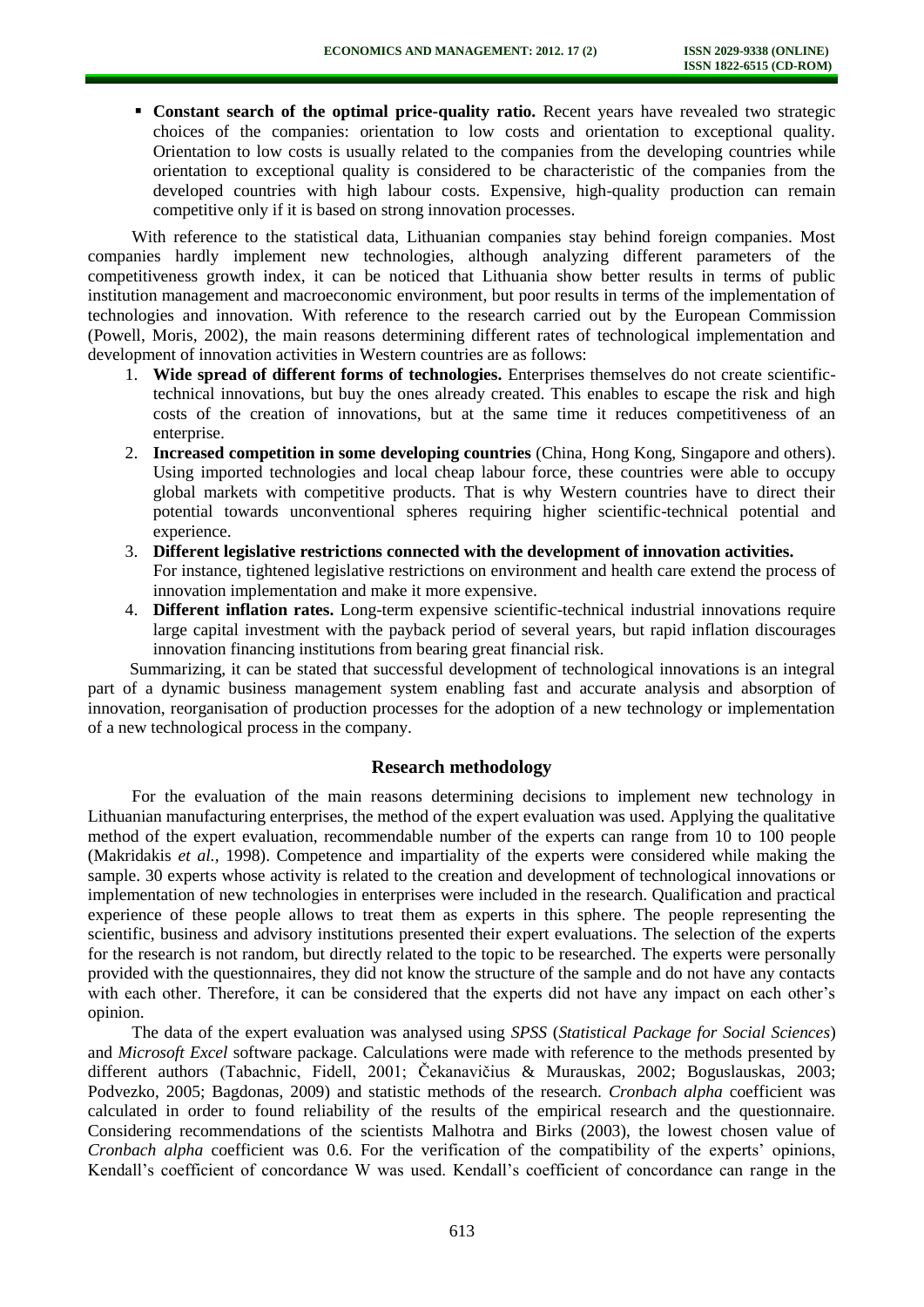**Constant search of the optimal price-quality ratio.** Recent years have revealed two strategic choices of the companies: orientation to low costs and orientation to exceptional quality. Orientation to low costs is usually related to the companies from the developing countries while orientation to exceptional quality is considered to be characteristic of the companies from the developed countries with high labour costs. Expensive, high-quality production can remain competitive only if it is based on strong innovation processes.

With reference to the statistical data, Lithuanian companies stay behind foreign companies. Most companies hardly implement new technologies, although analyzing different parameters of the competitiveness growth index, it can be noticed that Lithuania show better results in terms of public institution management and macroeconomic environment, but poor results in terms of the implementation of technologies and innovation. With reference to the research carried out by the European Commission (Powell, Moris, 2002), the main reasons determining different rates of technological implementation and development of innovation activities in Western countries are as follows:

- 1. **Wide spread of different forms of technologies.** Enterprises themselves do not create scientifictechnical innovations, but buy the ones already created. This enables to escape the risk and high costs of the creation of innovations, but at the same time it reduces competitiveness of an enterprise.
- 2. **Increased competition in some developing countries** (China, Hong Kong, Singapore and others). Using imported technologies and local cheap labour force, these countries were able to occupy global markets with competitive products. That is why Western countries have to direct their potential towards unconventional spheres requiring higher scientific-technical potential and experience.
- 3. **Different legislative restrictions connected with the development of innovation activities.** For instance, tightened legislative restrictions on environment and health care extend the process of innovation implementation and make it more expensive.
- 4. **Different inflation rates.** Long-term expensive scientific-technical industrial innovations require large capital investment with the payback period of several years, but rapid inflation discourages innovation financing institutions from bearing great financial risk.

Summarizing, it can be stated that successful development of technological innovations is an integral part of a dynamic business management system enabling fast and accurate analysis and absorption of innovation, reorganisation of production processes for the adoption of a new technology or implementation of a new technological process in the company.

## **Research methodology**

For the evaluation of the main reasons determining decisions to implement new technology in Lithuanian manufacturing enterprises, the method of the expert evaluation was used. Applying the qualitative method of the expert evaluation, recommendable number of the experts can range from 10 to 100 people (Makridakis *et al.,* 1998). Competence and impartiality of the experts were considered while making the sample. 30 experts whose activity is related to the creation and development of technological innovations or implementation of new technologies in enterprises were included in the research. Qualification and practical experience of these people allows to treat them as experts in this sphere. The people representing the scientific, business and advisory institutions presented their expert evaluations. The selection of the experts for the research is not random, but directly related to the topic to be researched. The experts were personally provided with the questionnaires, they did not know the structure of the sample and do not have any contacts with each other. Therefore, it can be considered that the experts did not have any impact on each other's opinion.

The data of the expert evaluation was analysed using *SPSS* (*Statistical Package for Social Sciences*) and *Microsoft Excel* software package. Calculations were made with reference to the methods presented by different authors (Tabachnic, Fidell, 2001; Čekanavičius & Murauskas, 2002; Boguslauskas, 2003; Podvezko, 2005; Bagdonas, 2009) and statistic methods of the research. *Cronbach alpha* coefficient was calculated in order to found reliability of the results of the empirical research and the questionnaire. Considering recommendations of the scientists Malhotra and Birks (2003), the lowest chosen value of *Cronbach alpha* coefficient was 0.6. For the verification of the compatibility of the experts' opinions, Kendall's coefficient of concordance W was used. Kendall's coefficient of concordance can range in the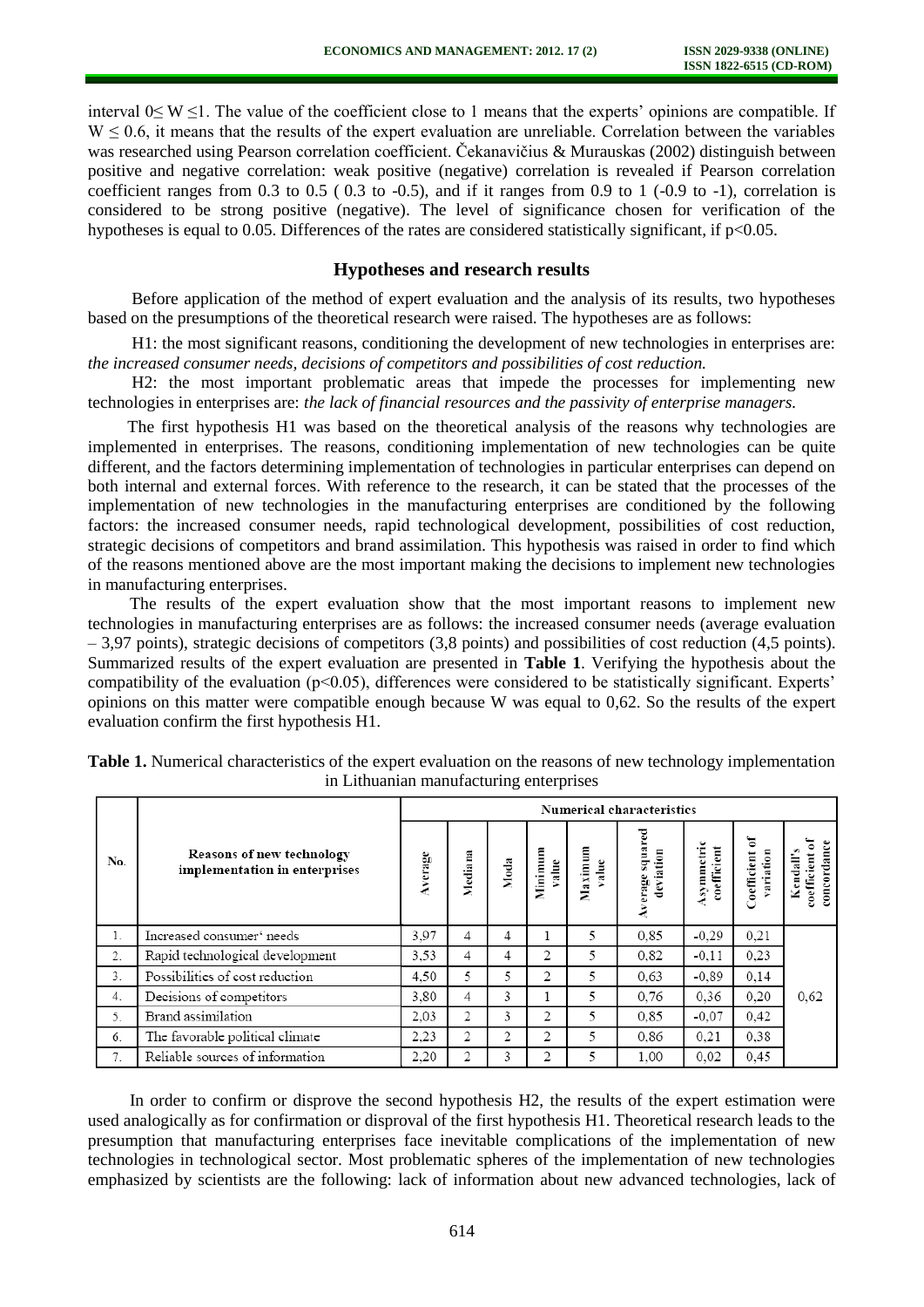interval 0≤ W ≤1. The value of the coefficient close to 1 means that the experts' opinions are compatible. If  $W \leq 0.6$ , it means that the results of the expert evaluation are unreliable. Correlation between the variables was researched using Pearson correlation coefficient. Čekanavičius & Murauskas (2002) distinguish between positive and negative correlation: weak positive (negative) correlation is revealed if Pearson correlation coefficient ranges from 0.3 to 0.5 ( 0.3 to -0.5), and if it ranges from 0.9 to 1 (-0.9 to -1), correlation is considered to be strong positive (negative). The level of significance chosen for verification of the hypotheses is equal to 0.05. Differences of the rates are considered statistically significant, if  $p<0.05$ .

#### **Hypotheses and research results**

Before application of the method of expert evaluation and the analysis of its results, two hypotheses based on the presumptions of the theoretical research were raised. The hypotheses are as follows:

H1: the most significant reasons, conditioning the development of new technologies in enterprises are: *the increased consumer needs, decisions of competitors and possibilities of cost reduction.* 

H2: the most important problematic areas that impede the processes for implementing new technologies in enterprises are: *the lack of financial resources and the passivity of enterprise managers.* 

The first hypothesis H1 was based on the theoretical analysis of the reasons why technologies are implemented in enterprises. The reasons, conditioning implementation of new technologies can be quite different, and the factors determining implementation of technologies in particular enterprises can depend on both internal and external forces. With reference to the research, it can be stated that the processes of the implementation of new technologies in the manufacturing enterprises are conditioned by the following factors: the increased consumer needs, rapid technological development, possibilities of cost reduction, strategic decisions of competitors and brand assimilation. This hypothesis was raised in order to find which of the reasons mentioned above are the most important making the decisions to implement new technologies in manufacturing enterprises.

The results of the expert evaluation show that the most important reasons to implement new technologies in manufacturing enterprises are as follows: the increased consumer needs (average evaluation – 3,97 points), strategic decisions of competitors (3,8 points) and possibilities of cost reduction (4,5 points). Summarized results of the expert evaluation are presented in **Table 1**. Verifying the hypothesis about the compatibility of the evaluation (p<0.05), differences were considered to be statistically significant. Experts' opinions on this matter were compatible enough because W was equal to 0,62. So the results of the expert evaluation confirm the first hypothesis H1.

|     |                                                            | <b>Numerical characteristics</b> |         |      |                      |                  |                             |                          |                                |                                             |  |
|-----|------------------------------------------------------------|----------------------------------|---------|------|----------------------|------------------|-----------------------------|--------------------------|--------------------------------|---------------------------------------------|--|
| No. | Reasons of new technology<br>implementation in enterprises | verage                           | Mediana | Moda | Ξ<br>Minimu<br>value | Maximum<br>value | squa<br>deviation<br>erage: | ksymmetri<br>coefficient | ፞ጜ<br>Coefficient<br>atio<br>Į | concordance<br>۰<br>coefficient<br>Kendall' |  |
| 1.  | Increased consumer' needs                                  | 3.97                             | 4       | 4    |                      | 5                | 0.85                        | $-0.29$                  | 0.21                           |                                             |  |
| 2.  | Rapid technological development                            | 3.53                             | 4       | 4    | 2                    | 5                | 0.82                        | $-0.11$                  | 0.23                           |                                             |  |
| 3.  | Possibilities of cost reduction                            | 4,50                             | 5       | 5    | 2                    | 5                | 0.63                        | $-0.89$                  | 0,14                           |                                             |  |
| 4.  | Decisions of competitors                                   | 3.80                             | 4       | 3    |                      | 5                | 0.76                        | 0.36                     | 0.20                           | 0.62                                        |  |
| 5.  | Brand assimilation                                         | 2.03                             | 2       | 3    | 2                    | 5                | 0.85                        | $-0.07$                  | 0.42                           |                                             |  |
| 6.  | The favorable political climate                            | 2.23                             | 2       | 2    | 2                    | 5                | 0.86                        | 0,21                     | 0.38                           |                                             |  |
| 7.  | Reliable sources of information                            | 2.20                             | 2       | 3    | 2                    | 5                | 1.00                        | 0.02                     | 0,45                           |                                             |  |

| Table 1. Numerical characteristics of the expert evaluation on the reasons of new technology implementation |  |
|-------------------------------------------------------------------------------------------------------------|--|
| in Lithuanian manufacturing enterprises                                                                     |  |

In order to confirm or disprove the second hypothesis H2, the results of the expert estimation were used analogically as for confirmation or disproval of the first hypothesis H1. Theoretical research leads to the presumption that manufacturing enterprises face inevitable complications of the implementation of new technologies in technological sector. Most problematic spheres of the implementation of new technologies emphasized by scientists are the following: lack of information about new advanced technologies, lack of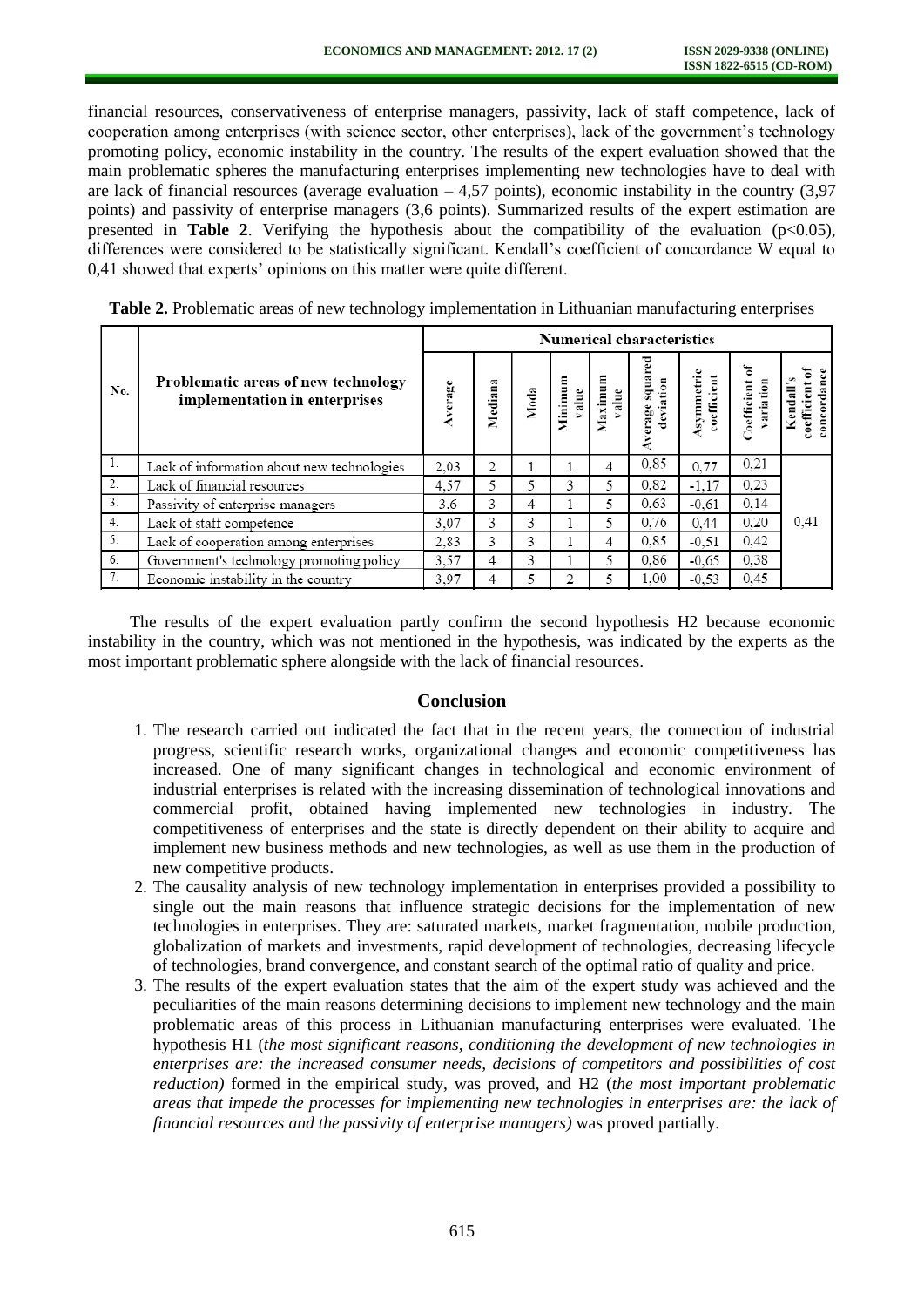financial resources, conservativeness of enterprise managers, passivity, lack of staff competence, lack of cooperation among enterprises (with science sector, other enterprises), lack of the government's technology promoting policy, economic instability in the country. The results of the expert evaluation showed that the main problematic spheres the manufacturing enterprises implementing new technologies have to deal with are lack of financial resources (average evaluation  $-4,57$  points), economic instability in the country (3.97 points) and passivity of enterprise managers (3,6 points). Summarized results of the expert estimation are presented in **Table 2**. Verifying the hypothesis about the compatibility of the evaluation  $(p<0.05)$ , differences were considered to be statistically significant. Kendall's coefficient of concordance W equal to 0,41 showed that experts' opinions on this matter were quite different.

|     |                                                                      | <b>Numerical characteristics</b> |         |      |                 |                |                            |                         |                            |                                      |  |
|-----|----------------------------------------------------------------------|----------------------------------|---------|------|-----------------|----------------|----------------------------|-------------------------|----------------------------|--------------------------------------|--|
| No. | Problematic areas of new technology<br>implementation in enterprises | Average                          | Mediana | Moda | Minimu<br>value | Maximu<br>alue | squa<br>deviation<br>erage | symmetri<br>coefficient | ቼ<br>oefficient<br>ariatio | concordan<br>coefficient<br>Kendall' |  |
| 1.  | Lack of information about new technologies                           | 2.03                             | 2       |      |                 | 4              | 0,85                       | 0,77                    | 0.21                       |                                      |  |
| 2.  | Lack of financial resources                                          | 4.57                             | 5       | 5    | 3               | 5              | 0.82                       | $-1.17$                 | 0.23                       |                                      |  |
| 3.  | Passivity of enterprise managers                                     | 3.6                              | 3       | 4    |                 | 5              | 0.63                       | $-0.61$                 | 0.14                       |                                      |  |
| 4.  | Lack of staff competence                                             | 3.07                             | 3       | 3    |                 | 5              | 0,76                       | 0.44                    | 0.20                       | 0,41                                 |  |
| 5.  | Lack of cooperation among enterprises                                | 2.83                             | 3       | 3    |                 | 4              | 0.85                       | $-0.51$                 | 0.42                       |                                      |  |
| 6.  | Government's technology promoting policy                             | 3,57                             | 4       | 3    |                 | 5              | 0.86                       | $-0.65$                 | 0,38                       |                                      |  |
| 7.  | Economic instability in the country                                  | 3.97                             | 4       | 5    |                 |                | 1.00                       | $-0.53$                 | 0.45                       |                                      |  |

**Table 2.** Problematic areas of new technology implementation in Lithuanian manufacturing enterprises

The results of the expert evaluation partly confirm the second hypothesis H2 because economic instability in the country, which was not mentioned in the hypothesis, was indicated by the experts as the most important problematic sphere alongside with the lack of financial resources.

#### **Conclusion**

- 1. The research carried out indicated the fact that in the recent years, the connection of industrial progress, scientific research works, organizational changes and economic competitiveness has increased. One of many significant changes in technological and economic environment of industrial enterprises is related with the increasing dissemination of technological innovations and commercial profit, obtained having implemented new technologies in industry. The competitiveness of enterprises and the state is directly dependent on their ability to acquire and implement new business methods and new technologies, as well as use them in the production of new competitive products.
- 2. The causality analysis of new technology implementation in enterprises provided a possibility to single out the main reasons that influence strategic decisions for the implementation of new technologies in enterprises. They are: saturated markets, market fragmentation, mobile production, globalization of markets and investments, rapid development of technologies, decreasing lifecycle of technologies, brand convergence, and constant search of the optimal ratio of quality and price.
- 3. The results of the expert evaluation states that the aim of the expert study was achieved and the peculiarities of the main reasons determining decisions to implement new technology and the main problematic areas of this process in Lithuanian manufacturing enterprises were evaluated. The hypothesis H1 (*the most significant reasons, conditioning the development of new technologies in enterprises are: the increased consumer needs, decisions of competitors and possibilities of cost reduction)* formed in the empirical study, was proved, and H2 (*the most important problematic areas that impede the processes for implementing new technologies in enterprises are: the lack of financial resources and the passivity of enterprise managers)* was proved partially.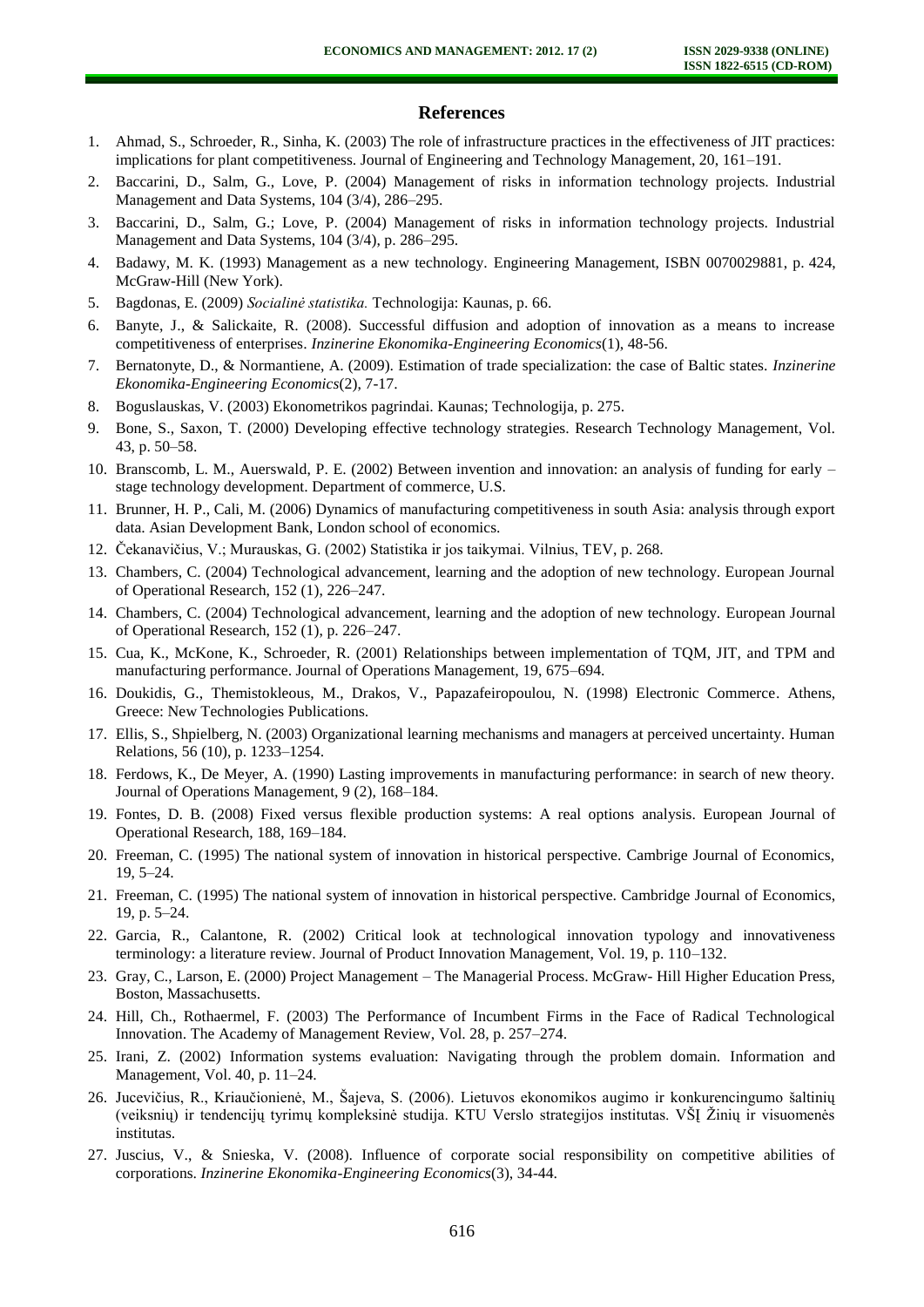#### **References**

- 1. Ahmad, S., Schroeder, R., Sinha, K. (2003) The role of infrastructure practices in the effectiveness of JIT practices: implications for plant competitiveness. Journal of Engineering and Technology Management, 20, 161–191.
- 2. Baccarini, D., Salm, G., Love, P. (2004) Management of risks in information technology projects. Industrial Management and Data Systems, 104 (3/4), 286–295.
- 3. Baccarini, D., Salm, G.; Love, P. (2004) Management of risks in information technology projects. Industrial Management and Data Systems, 104 (3/4), p. 286–295.
- 4. Badawy, M. K. (1993) Management as a new technology. Engineering Management, ISBN 0070029881, p. 424, McGraw-Hill (New York).
- 5. Bagdonas, E. (2009) *Socialinė statistika.* Technologija: Kaunas, p. 66.
- 6. Banyte, J., & Salickaite, R. (2008). Successful diffusion and adoption of innovation as a means to increase competitiveness of enterprises. *Inzinerine Ekonomika-Engineering Economics*(1), 48-56.
- 7. Bernatonyte, D., & Normantiene, A. (2009). Estimation of trade specialization: the case of Baltic states. *Inzinerine Ekonomika-Engineering Economics*(2), 7-17.
- 8. Boguslauskas, V. (2003) Ekonometrikos pagrindai. Kaunas; Technologija, p. 275.
- 9. Bone, S., Saxon, T. (2000) Developing effective technology strategies. Research Technology Management, Vol. 43, p. 50–58.
- 10. Branscomb, L. M., Auerswald, P. E. (2002) Between invention and innovation: an analysis of funding for early stage technology development. Department of commerce, U.S.
- 11. Brunner, H. P., Cali, M. (2006) Dynamics of manufacturing competitiveness in south Asia: analysis through export data. Asian Development Bank, London school of economics.
- 12. Čekanavičius, V.; Murauskas, G. (2002) Statistika ir jos taikymai. Vilnius, TEV, p. 268.
- 13. Chambers, C. (2004) Technological advancement, learning and the adoption of new technology. European Journal of Operational Research, 152 (1), 226–247.
- 14. Chambers, C. (2004) Technological advancement, learning and the adoption of new technology. European Journal of Operational Research, 152 (1), p. 226–247.
- 15. Cua, K., McKone, K., Schroeder, R. (2001) Relationships between implementation of TQM, JIT, and TPM and manufacturing performance. Journal of Operations Management, 19, 675–694.
- 16. Doukidis, G., Themistokleous, M., Drakos, V., Papazafeiropoulou, N. (1998) Electronic Commerce. Athens, Greece: New Technologies Publications.
- 17. Ellis, S., Shpielberg, N. (2003) Organizational learning mechanisms and managers at perceived uncertainty. Human Relations, 56 (10), p. 1233–1254.
- 18. Ferdows, K., De Meyer, A. (1990) Lasting improvements in manufacturing performance: in search of new theory. Journal of Operations Management, 9 (2), 168–184.
- 19. Fontes, D. B. (2008) Fixed versus flexible production systems: A real options analysis. European Journal of Operational Research, 188, 169–184.
- 20. Freeman, C. (1995) The national system of innovation in historical perspective. Cambrige Journal of Economics, 19, 5–24.
- 21. Freeman, C. (1995) The national system of innovation in historical perspective. Cambridge Journal of Economics, 19, p. 5–24.
- 22. Garcia, R., Calantone, R. (2002) Critical look at technological innovation typology and innovativeness terminology: a literature review. Journal of Product Innovation Management, Vol. 19, p. 110–132.
- 23. Gray, C., Larson, E. (2000) Project Management The Managerial Process. McGraw- Hill Higher Education Press, Boston, Massachusetts.
- 24. Hill, Ch., Rothaermel, F. (2003) The Performance of Incumbent Firms in the Face of Radical Technological Innovation. The Academy of Management Review, Vol. 28, p. 257–274.
- 25. Irani, Z. (2002) Information systems evaluation: Navigating through the problem domain. Information and Management, Vol. 40, p. 11–24.
- 26. Jucevičius, R., Kriaučionienė, M., Šajeva, S. (2006). Lietuvos ekonomikos augimo ir konkurencingumo šaltinių (veiksnių) ir tendencijų tyrimų kompleksinė studija. KTU Verslo strategijos institutas. VŠĮ Žinių ir visuomenės institutas.
- 27. Juscius, V., & Snieska, V. (2008). Influence of corporate social responsibility on competitive abilities of corporations. *Inzinerine Ekonomika-Engineering Economics*(3), 34-44.